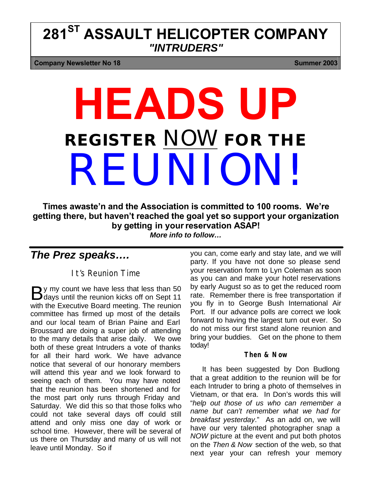# **281ST ASSAULT HELICOPTER COMPANY** *"INTRUDERS"*

**Company Newsletter No 18** Summer 2003

# **HEADS UP REGISTER** NOW **FOR THE**  REUNION!

**Times awaste'n and the Association is committed to 100 rooms. We're getting there, but haven't reached the goal yet so support your organization by getting in your reservation ASAP!** 

*More info to follow…*

# *The Prez speaks….*

It's Reunion Time

y my count we have less that less than 50 By my count we have less that less than 50<br>Bdays until the reunion kicks off on Sept 11 with the Executive Board meeting. The reunion committee has firmed up most of the details and our local team of Brian Paine and Earl Broussard are doing a super job of attending to the many details that arise daily. We owe both of these great Intruders a vote of thanks for all their hard work. We have advance notice that several of our honorary members will attend this year and we look forward to seeing each of them. You may have noted that the reunion has been shortened and for the most part only runs through Friday and Saturday. We did this so that those folks who could not take several days off could still attend and only miss one day of work or school time. However, there will be several of us there on Thursday and many of us will not leave until Monday. So if

you can, come early and stay late, and we will party. If you have not done so please send your reservation form to Lyn Coleman as soon as you can and make your hotel reservations by early August so as to get the reduced room rate. Remember there is free transportation if you fly in to George Bush International Air Port. If our advance polls are correct we look forward to having the largest turn out ever. So do not miss our first stand alone reunion and bring your buddies. Get on the phone to them today!

#### **Then & Now**

It has been suggested by Don Budlong that a great addition to the reunion will be for each Intruder to bring a photo of themselves in Vietnam, or that era. In Don's words this will "*help out those of us who can remember a name but can't remember what we had for breakfast yesterday*." As an add on, we will have our very talented photographer snap a *NOW* picture at the event and put both photos on the *Then & Now* section of the web, so that next year your can refresh your memory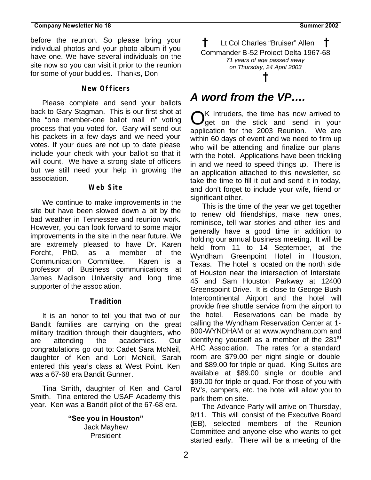before the reunion. So please bring your individual photos and your photo album if you have one. We have several individuals on the site now so you can visit it prior to the reunion for some of your buddies. Thanks, Don

#### **New Officers**

Please complete and send your ballots back to Gary Stagman. This is our first shot at the "one member-one ballot mail in" voting process that you voted for. Gary will send out his packets in a few days and we need your votes. If your dues are not up to date please include your check with your ballot so that it will count. We have a strong slate of officers but we still need your help in growing the association.

#### **Web Site**

We continue to make improvements in the site but have been slowed down a bit by the bad weather in Tennessee and reunion work. However, you can look forward to some major improvements in the site in the near future. We are extremely pleased to have Dr. Karen Forcht, PhD, as a member of the Communication Committee. Karen is a professor of Business communications at James Madison University and long time supporter of the association.

#### **Tradition**

It is an honor to tell you that two of our Bandit families are carrying on the great military tradition through their daughters, who are attending the academies. Our congratulations go out to: Cadet Sara McNeil, daughter of Ken and Lori McNeil, Sarah entered this year's class at West Point. Ken was a 67-68 era Bandit Gunner.

Tina Smith, daughter of Ken and Carol Smith. Tina entered the USAF Academy this year. Ken was a Bandit pilot of the 67-68 era.

> **"See you in Houston"**  Jack Mayhew President

**†** Lt Col Charles "Bruiser" Allen **†** Commander B-52 Project Delta 1967-68 *71 years of age passed away on Thursday, 24 April 2003* **†**

# *A word from the VP….*

OK Intruders, the time has now arrived to get on the stick and send in your get on the stick and send in your application for the 2003 Reunion. We are within 60 days of event and we need to firm up who will be attending and finalize our plans with the hotel. Applications have been trickling in and we need to speed things up. There is an application attached to this newsletter, so take the time to fill it out and send it in today, and don't forget to include your wife, friend or significant other.

This is the time of the year we get together to renew old friendships, make new ones, reminisce, tell war stories and other lies and generally have a good time in addition to holding our annual business meeting. It will be held from 11 to 14 September, at the Wyndham Greenpoint Hotel in Houston, Texas. The hotel is located on the north side of Houston near the intersection of Interstate 45 and Sam Houston Parkway at 12400 Greenspoint Drive. It is close to George Bush Intercontinental Airport and the hotel will provide free shuttle service from the airport to the hotel. Reservations can be made by calling the Wyndham Reservation Center at 1- 800-WYNDHAM or at www.wyndham.com and identifying yourself as a member of the 281<sup>st</sup> AHC Association. The rates for a standard room are \$79.00 per night single or double and \$89.00 for triple or quad. King Suites are available at \$89.00 single or double and \$99.00 for triple or quad. For those of you with RV's, campers, etc. the hotel will allow you to park them on site.

The Advance Party will arrive on Thursday, 9/11. This will consist of the Executive Board (EB), selected members of the Reunion Committee and anyone else who wants to get started early. There will be a meeting of the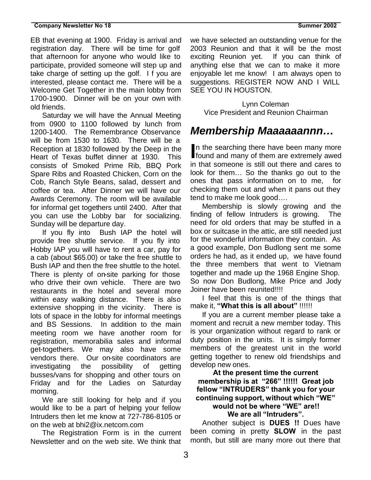EB that evening at 1900. Friday is arrival and registration day. There will be time for golf that afternoon for anyone who would like to participate, provided someone will step up and take charge of setting up the golf. I f you are interested, please contact me. There will be a Welcome Get Together in the main lobby from 1700-1900. Dinner will be on your own with old friends.

Saturday we will have the Annual Meeting from 0900 to 1100 followed by lunch from 1200-1400. The Remembrance Observance will be from 1530 to 1630. There will be a Reception at 1830 followed by the Deep in the Heart of Texas buffet dinner at 1930. This consists of Smoked Prime Rib, BBQ Pork Spare Ribs and Roasted Chicken, Corn on the Cob, Ranch Style Beans, salad, dessert and coffee or tea. After Dinner we will have our Awards Ceremony. The room will be available for informal get togethers until 2400. After that you can use the Lobby bar for socializing. Sunday will be departure day.

If you fly into Bush IAP the hotel will provide free shuttle service. If you fly into Hobby IAP you will have to rent a car, pay for a cab (about \$65.00) or take the free shuttle to Bush IAP and then the free shuttle to the hotel. There is plenty of on-site parking for those who drive their own vehicle. There are two restaurants in the hotel and several more within easy walking distance. There is also extensive shopping in the vicinity. There is lots of space in the lobby for informal meetings and BS Sessions. In addition to the main meeting room we have another room for registration, memorabilia sales and informal get-togethers. We may also have some vendors there. Our on-site coordinators are investigating the possibility of getting busses/vans for shopping and other tours on Friday and for the Ladies on Saturday morning.

We are still looking for help and if you would like to be a part of helping your fellow Intruders then let me know at 727-786-8105 or on the web at bhi2@ix.netcom.com

The Registration Form is in the current Newsletter and on the web site. We think that we have selected an outstanding venue for the 2003 Reunion and that it will be the most exciting Reunion yet. If you can think of anything else that we can to make it more enjoyable let me know! I am always open to suggestions. REGISTER NOW AND I WILL SEE YOU IN HOUSTON.

Lynn Coleman Vice President and Reunion Chairman

# *Membership Maaaaaannn…*

n the searching there have been many more In the searching there have been many more<br>found and many of them are extremely awed<br>in that corresponsing till out there and cance to in that someone is still out there and cares to look for them… So the thanks go out to the ones that pass information on to me, for checking them out and when it pans out they tend to make me look good….

Membership is slowly growing and the finding of fellow Intruders is growing. The need for old orders that may be stuffed in a box or suitcase in the attic, are still needed just for the wonderful information they contain. As a good example, Don Budlong sent me some orders he had, as it ended up, we have found the three members that went to Vietnam together and made up the 1968 Engine Shop. So now Don Budlong, Mike Price and Jody Joiner have been reunited!!!!

I feel that this is one of the things that make it, **"What this is all about"** !!!!!!

If you are a current member please take a moment and recruit a new member today. This is your organization without regard to rank or duty position in the units. It is simply former members of the greatest unit in the world getting together to renew old friendships and develop new ones.

#### **At the present time the current membership is at "266" !!!!!! Great job fellow "INTRUDERS" thank you for your continuing support, without which "WE" would not be where "WE" are!! We are all "Intruders".**

Another subject is **DUES !!** Dues have been coming in pretty **SLOW** in the past month, but still are many more out there that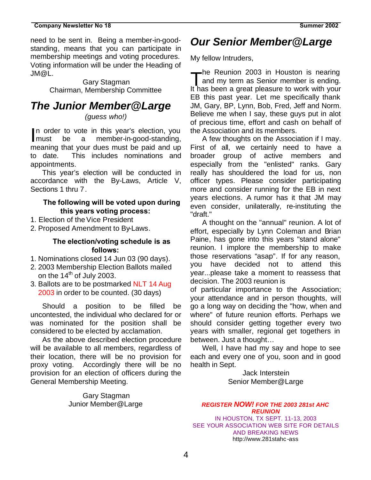need to be sent in. Being a member-in-goodstanding, means that you can participate in membership meetings and voting procedures. Voting information will be under the Heading of JM@L.

> Gary Stagman Chairman, Membership Committee

# *The Junior Member@Large*

*(guess who!)*

n order to vote in this year's election, you be a member-in-good-standing, meaning that your dues must be paid and up to date. This includes nominations and appointments. **I** must

This year's election will be conducted in accordance with the By-Laws, Article V, Sections 1 thru 7.

#### **The following will be voted upon during this years voting process:**

- 1. Election of the Vice President
- 2. Proposed Amendment to By-Laws.

#### **The election/voting schedule is as follows:**

- 1. Nominations closed 14 Jun 03 (90 days).
- 2. 2003 Membership Election Ballots mailed on the  $14<sup>th</sup>$  of July 2003.
- 3. Ballots are to be postmarked NLT 14 Aug 2003 in order to be counted. (30 days)

Should a position to be filled be uncontested, the individual who declared for or was nominated for the position shall be considered to be elected by acclamation.

As the above described election procedure will be available to all members, regardless of their location, there will be no provision for proxy voting. Accordingly there will be no provision for an election of officers during the General Membership Meeting.

> Gary Stagman Junior Member@Large

# *Our Senior Member@Large*

My fellow Intruders,

he Reunion 2003 in Houston is nearing and my term as Senior member is ending. The Reunion 2003 in Houston is nearing<br>and my term as Senior member is ending.<br>It has been a great pleasure to work with your EB this past year. Let me specifically thank JM, Gary, BP, Lynn, Bob, Fred, Jeff and Norm. Believe me when I say, these guys put in alot of precious time, effort and cash on behalf of the Association and its members.

A few thoughts on the Association if I may. First of all, we certainly need to have a broader group of active members and especially from the "enlisted" ranks. Gary really has shouldered the load for us, non officer types. Please consider participating more and consider running for the EB in next years elections. A rumor has it that JM may even consider, unilaterally, re-instituting the "draft."

A thought on the "annual" reunion. A lot of effort, especially by Lynn Coleman and Brian Paine, has gone into this years "stand alone" reunion. I implore the membership to make those reservations "asap". If for any reason, you have decided not to attend this year...please take a moment to reassess that decision. The 2003 reunion is

of particular importance to the Association; your attendance and in person thoughts, will go a long way on deciding the "how, when and where" of future reunion efforts. Perhaps we should consider getting together every two years with smaller, regional get togethers in between. Just a thought…

Well, I have had my say and hope to see each and every one of you, soon and in good health in Sept.

> Jack Interstein Senior Member@Large

*REGISTER NOW! FOR THE 2003 281st AHC REUNION* IN HOUSTON, TX SEPT. 11-13, 2003 SEE YOUR ASSOCIATION WEB SITE FOR DETAILS AND BREAKING NEWS http://www.281stahc -ass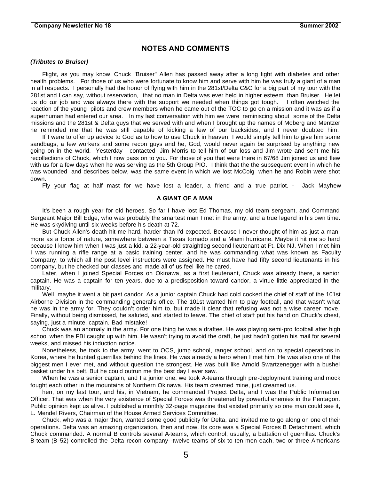#### **NOTES AND COMMENTS**

#### *(Tributes to Bruiser)*

Flight, as you may know, Chuck "Bruiser" Allen has passed away after a long fight with diabetes and other health problems. For those of us who were fortunate to know him and serve with him he was truly a giant of a man in all respects. I personally had the honor of flying with him in the 281st/Delta C&C for a big part of my tour with the 281st and I can say, without reservation, that no man in Delta was ever held in higher esteem than Bruiser. He let us do our job and was always there with the support we needed when things got tough. I often watched the reaction of the young pilots and crew members when he came out of the TOC to go on a mission and it was as if a superhuman had entered our area. In my last conversation with him we were reminiscing about some of the Delta missions and the 281st & Delta guys that we served with and when I brought up the names of Moberg and Mentzer he reminded me that he was still capable of kicking a few of our backsides, and I never doubted him.

If I were to offer up advice to God as to how to use Chuck in heaven, I would simply tell him to give him some sandbags, a few workers and some recon guys and he, God, would never again be surprised by anything new going on in the world. Yesterday I contacted Jim Morris to tell him of our loss and Jim wrote and sent me his recollections of Chuck, which I now pass on to you. For those of you that were there in 67/68 Jim joined us and flew with us for a few days when he was serving as the 5th Group PIO. I think that the the subsequent event in which he was wounded and describes below, was the same event in which we lost McCoig when he and Robin were shot down.

Fly your flag at half mast for we have lost a leader, a friend and a true patriot. - Jack Mayhew

#### **A GIANT OF A MAN**

It's been a rough year for old heroes. So far I have lost Ed Thomas, my old team sergeant, and Command Sergeant Major Bill Edge, who was probably the smartest man I met in the army, and a true legend in his own time. He was skydiving until six weeks before his death at 72.

But Chuck Allen's death hit me hard, harder than I'd expected. Because I never thought of him as just a man, more as a force of nature, somewhere between a Texas tornado and a Miami hurricane. Maybe it hit me so hard because I knew him when I was just a kid, a 22-year-old straightleg second lieutenant at Ft. Dix NJ. When I met him I was running a rifle range at a basic training center, and he was commanding what was known as Faculty Company, to which all the post level instructors were assigned. He must have had fifty second lieutenants in his company, but he checked our classes and made all of us feel like he cared.

Later, when I joined Special Forces on Okinawa, as a first lieutenant, Chuck was already there, a senior captain. He was a captain for ten years, due to a predisposition toward candor, a virtue little appreciated in the military.

Well, maybe it went a bit past candor. As a junior captain Chuck had cold cocked the chief of staff of the 101st Airborne Division in the commanding general's office. The 101st wanted him to play football, and that wasn't what he was in the army for. They couldn't order him to, but made it clear that refusing was not a wise career move. Finally, without being dismissed, he saluted, and started to leave. The chief of staff put his hand on Chuck's chest, saying, just a minute, captain. Bad mistake!

Chuck was an anomaly in the army. For one thing he was a draftee. He was playing semi-pro football after high school when the FBI caught up with him. He wasn't trying to avoid the draft, he just hadn't gotten his mail for several weeks, and missed his induction notice.

Nonetheless, he took to the army, went to OCS, jump school, ranger school, and on to special operations in Korea, where he hunted guerrillas behind the lines. He was already a hero when I met him. He was also one of the biggest men I ever met, and without question the strongest. He was built like Arnold Swartzenegger with a bushel basket under his belt. But he could outrun me the best day I ever saw.

When he was a senior captain, and I a junior one, we took A-teams through pre-deployment training and mock fought each other in the mountains of Northern Okinawa. His team creamed mine, just creamed us.

hen, on my last tour, and his, in Vietnam, he commanded Project Delta, and I was the Public Information Officer. That was when the very existence of Special Forces was threatened by powerful enemies in the Pentagon. Public opinion kept us alive. I published a monthly 32-page magazine that existed primarily so one man could see it, L. Mendel Rivers, Chairman of the House Armed Services Committee.

Chuck, who was a major then, wanted some good publicity for Delta, and invited me to go along on one of their operations. Delta was an amazing organization, then and now. Its core was a Special Forces B Detachment, which Chuck commanded. A normal B controls several A-teams, which control, usually, a battalion of guerrillas. Chuck's B-team (B-52) controlled the Delta recon company--twelve teams of six to ten men each, two or three Americans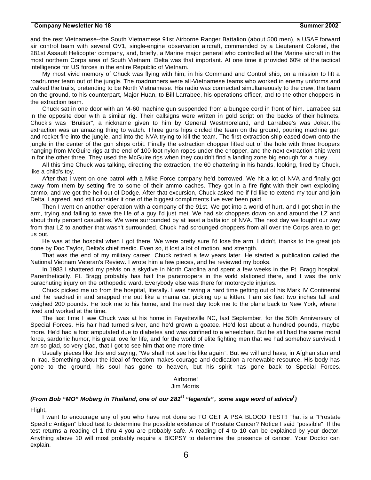and the rest Vietnamese--the South Vietnamese 91st Airborne Ranger Battalion (about 500 men), a USAF forward air control team with several OV1, single-engine observation aircraft, commanded by a Lieutenant Colonel, the 281st Assault Helicopter company, and, briefly, a Marine major general who controlled all the Marine aircraft in the most northern Corps area of South Vietnam. Delta was that important. At one time it provided 60% of the tactical intelligence for US forces in the entire Republic of Vietnam.

My most vivid memory of Chuck was flying with him, in his Command and Control ship, on a mission to lift a roadrunner team out of the jungle. The roadrunners were all-Vietnamese teams who worked in enemy uniforms and walked the trails, pretending to be North Vietnamese. His radio was connected simultaneously to the crew, the team on the ground, to his counterpart, Major Huan, to Bill Larrabee, his operations officer, and to the other choppers in the extraction team.

Chuck sat in one door with an M-60 machine gun suspended from a bungee cord in front of him. Larrabee sat in the opposite door with a similar rig. Their callsigns were written in gold script on the backs of their helmets. Chuck's was "Bruiser", a nickname given to him by General Westmoreland, and Larrabee's was Joker.The extraction was an amazing thing to watch. Three guns hips circled the team on the ground, pouring machine gun and rocket fire into the jungle, and into the NVA trying to kill the team. The first extraction ship eased down onto the jungle in the center of the gun ships orbit. Finally the extraction chopper lifted out of the hole with three troopers hanging from McGuire rigs at the end of 100-foot nylon ropes under the chopper, and the next extraction ship went in for the other three. They used the McGuire rigs when they couldn't find a landing zone big enough for a huey.

All this time Chuck was talking, directing the extraction, the 60 chattering in his hands, looking, fired by Chuck, like a child's toy.

After that I went on one patrol with a Mike Force company he'd borrowed. We hit a lot of NVA and finally got away from them by setting fire to some of their ammo caches. They got in a fire fight with their own exploding ammo, and we got the hell out of Dodge. After that excursion, Chuck asked me if I'd like to extend my tour and join Delta. I agreed, and still consider it one of the biggest compliments I've ever been paid.

Then I went on another operation with a company of the 91st. We got into a world of hurt, and I got shot in the arm, trying and failing to save the life of a guy I'd just met. We had six choppers down on and around the LZ and about thirty percent casualties. We were surrounded by at least a battalion of NVA. The next day we fought our way from that LZ to another that wasn't surrounded. Chuck had scrounged choppers from all over the Corps area to get us out.

He was at the hospital when I got there. We were pretty sure I'd lose the arm. I didn't, thanks to the great job done by Doc Taylor, Delta's chief medic. Even so, it lost a lot of motion, and strength.

That was the end of my military career. Chuck retired a few years later. He started a publication called the National Vietnam Veteran's Review. I wrote him a few pieces, and he reviewed my books.

In 1983 I shattered my pelvis on a skydive in North Carolina and spent a few weeks in the Ft. Bragg hospital. Parenthetically, Ft. Bragg probably has half the paratroopers in the world stationed there, and I was the only parachuting injury on the orthopedic ward. Everybody else was there for motorcycle injuries.

Chuck picked me up from the hospital, literally. I was having a hard time getting out of his Mark IV Continental and he reached in and snapped me out like a mama cat picking up a kitten. I am six feet two inches tall and weighed 200 pounds. He took me to his home, and the next day took me to the plane back to New York, where I lived and worked at the time.

The last time I saw Chuck was at his home in Fayetteville NC, last September, for the 50th Anniversary of Special Forces. His hair had turned silver, and he'd grown a goatee. He'd lost about a hundred pounds, maybe more. He'd had a foot amputated due to diabetes and was confined to a wheelchair. But he still had the same moral force, sardonic humor, his great love for life, and for the world of elite fighting men that we had somehow survived. I am so glad, so very glad, that I got to see him that one more time.

Usually pieces like this end saying, "We shall not see his like again". But we will and have, in Afghanistan and in Iraq. Something about the ideal of freedom makes courage and dedication a renewable resource. His body has gone to the ground, his soul has gone to heaven, but his spirit has gone back to Special Forces.

#### Airborne! Jim Morris

#### *(From Bob "MO" Moberg in Thailand, one of our 281st "legends" , some sage word of advice<sup>t</sup> )*

Flight,

I want to encourage any of you who have not done so TO GET A PSA BLOOD TEST!! That is a "Prostate Specific Antigen" blood test to determine the possible existence of Prostate Cancer? Notice I said "possible". If the test returns a reading of 1 thru 4 you are probably safe. A reading of 4 to 10 can be explained by your doctor. Anything above 10 will most probably require a BIOPSY to determine the presence of cancer. Your Doctor can explain.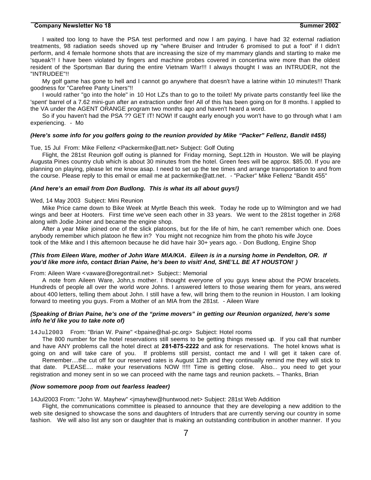I waited too long to have the PSA test performed and now I am paying. I have had 32 external radiation treatments, 98 radiation seeds shoved up my "where Bruiser and Intruder 6 promised to put a foot" if I didn't perform, and 4 female hormone shots that are increasing the size of my mammary glands and starting to make me 'squeak'!! I have been violated by fingers and machine probes covered in concertina wire more than the oldest resident of the Sportsman Bar during the entire Vietnam War!!! I always thought I was an INTRUDER, not the "INTRUDEE"!!

My golf game has gone to hell and I cannot go anywhere that doesn't have a latrine within 10 minutes!!! Thank goodness for "Carefree Panty Liners"!!

I would rather "go into the hole" in 10 Hot LZ's than to go to the toilet! My private parts constantly feel like the 'spent' barrel of a 7.62 mini-gun after an extraction under fire! All of this has been going on for 8 months. I applied to the VA under the AGENT ORANGE program two months ago and haven't heard a word.

So if you haven't had the PSA ?? GET IT! NOW! If caught early enough you won't have to go through what I am experiencing. - Mo

#### *(Here's some info for you golfers going to the reunion provided by Mike "Packer" Fellenz, Bandit #455)*

Tue, 15 Jul From: Mike Fellenz <Packermike@att.net> Subject: Golf Outing

Flight, the 281st Reunion golf outing is planned for Friday morning, Sept.12th in Houston. We will be playing Augusta Pines country club which is about 30 minutes from the hotel. Green fees will be approx. \$85.00. If you are planning on playing, please let me know asap. I need to set up the tee times and arrange transportation to and from the course. Please reply to this email or email me at packermike@att.net. - "Packer" Mike Fellenz "Bandit 455"

#### *(And here's an email from Don Budlong. This is what its all about guys!)*

#### Wed, 14 May 2003 Subject: Mini Reunion

Mike Price came down to Bike Week at Myrtle Beach this week. Today he rode up to Wilmington and we had wings and beer at Hooters. First time we've seen each other in 33 years. We went to the 281st together in 2/68 along with Jodie Joiner and became the engine shop.

After a year Mike joined one of the slick platoons, but for the life of him, he can't remember which one. Does anybody remember which platoon he flew in? You might not recognize him from the photo his wife Joyce took of the Mike and I this afternoon because he did have hair 30+ years ago. - Don Budlong, Engine Shop

#### *(This from Eileen Ware, mother of John Ware MIA/KIA. Eileen is in a nursing home in Pendelton, OR. If you'd like more info, contact Brian Paine, he's been to visit! And, SHE'LL BE AT HOUSTON! )*

From: Aileen Ware <vaware@oregontrail.net> Subject:: Memorial

A note from Aileen Ware, John,s mother. I thought everyone of you guys knew about the POW bracelets. Hundreds of people all over the world wore Johns. I answered letters to those wearing them for years, ans wered about 400 letters, telling them about John. I still have a few, will bring them to the reunion in Houston. I am looking forward to meeting you guys. From a Mother of an MIA from the 281st. - Aileen Ware

#### *(Speaking of Brian Paine, he's one of the "prime movers" in getting our Reunion organized, here's some info he'd like you to take note of)*

14Jul2003 From: "Brian W. Paine" <bpaine@hal-pc.org> Subject: Hotel rooms

The 800 number for the hotel reservations still seems to be getting things messed up. If you call that number and have ANY problems call the hotel direct at **281-875-2222** and ask for reservations. The hotel knows what is going on and will take care of you. If problems still persist, contact me and I will get it taken care of.

Remember....the cut off for our reserved rates is August 12th and they continually remind me they will stick to that date. PLEASE.... make your reservations NOW !!!!! Time is getting close. Also... you need to get your registration and money sent in so we can proceed with the name tags and reunion packets. – Thanks, Brian

#### *(Now somemore poop from out fearless leadeer)*

14Jul2003 From: "John W. Mayhew" <jmayhew@huntwood.net> Subject: 281st Web Addition

Flight, the communications committee is pleased to announce that they are developing a new addition to the web site designed to showcase the sons and daughters of Intruders that are currently serving our country in some fashion. We will also list any son or daughter that is making an outstanding contribution in another manner. If you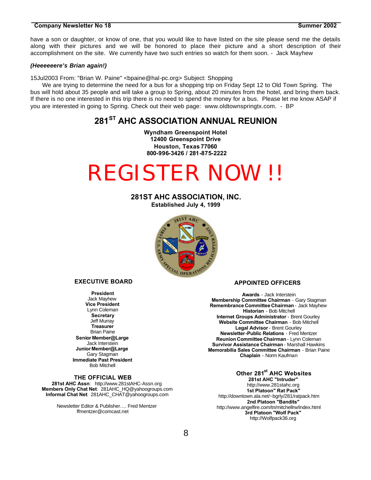have a son or daughter, or know of one, that you would like to have listed on the site please send me the details along with their pictures and we will be honored to place their picture and a short description of their accomplishment on the site. We currently have two such entries so watch for them soon. - Jack Mayhew

#### *(Heeeeeere's Brian again!)*

15Jul2003 From: "Brian W. Paine" <bpaine@hal-pc.org> Subject: Shopping

We are trying to determine the need for a bus for a shopping trip on Friday Sept 12 to Old Town Spring. The bus will hold about 35 people and will take a group to Spring, about 20 minutes from the hotel, and bring them back. If there is no one interested in this trip there is no need to spend the money for a bus. Please let me know ASAP if you are interested in going to Spring. Check out their web page: www.oldtownspringtx.com. - BP

#### **281ST AHC ASSOCIATION ANNUAL REUNION**

**Wyndham Greenspoint Hotel 12400 Greenspoint Drive Houston, Texas 77060 800-996-3426 / 281-875-2222**

# REGISTER NOW !!

#### **281ST AHC ASSOCIATION, INC. Established July 4, 1999**



#### **EXECUTIVE BOARD**

**President** Jack Mayhew **Vice President** Lynn Coleman **Secretary** Jeff Murray **Treasurer** Brian Paine **Senior Member@Large** Jack Interstein **Junior Member@Large** Gary Stagman **Immediate Past President** Bob Mitchell

#### **THE OFFICIAL WEB**

**281st AHC Assn**: http://www.281stAHC-Assn.org **Members Only Chat Net**: 281AHC\_HQ@yahoogroups.com **Informal Chat Net**: 281AHC\_CHAT@yahoogroups.com

> Newsletter Editor & Publisher…. Fred Mentzer ffmentzer@comcast.net

#### **APPOINTED OFFICERS**

**Awards** - Jack Interstein **Membership Committee Chairman** - Gary Stagman **Remembrance Committee Chairman** - Jack Mayhew **Historian** - Bob Mitchell **Internet Groups Administrator** - Brent Gourley **Website Committee Chairman** - Bob Mitchell **Legal Advisor**- Brent Gourley **Newsletter-Public Relations** - Fred Mentzer **Reunion Committee Chairman** - Lynn Coleman **Survivor Assistance Chairman** - Marshall Hawkins **Memorabilia Sales Committee Chairman** - Brian Paine **Chaplain** - Norm Kaufman

#### **Other 281st AHC Websites**

**281st AHC "Intruder"** http://www.281stahc.org **1st Platoon" Rat Pack"** http://downtown.ala.net/~bgrly/281/ratpack.htm **2nd Platoon "Bandits"** http://www.angelfire.com/tn/mitchellrw/index.html **3rd Platoon "Wolf Pack"**  http://Wolfpack36.org